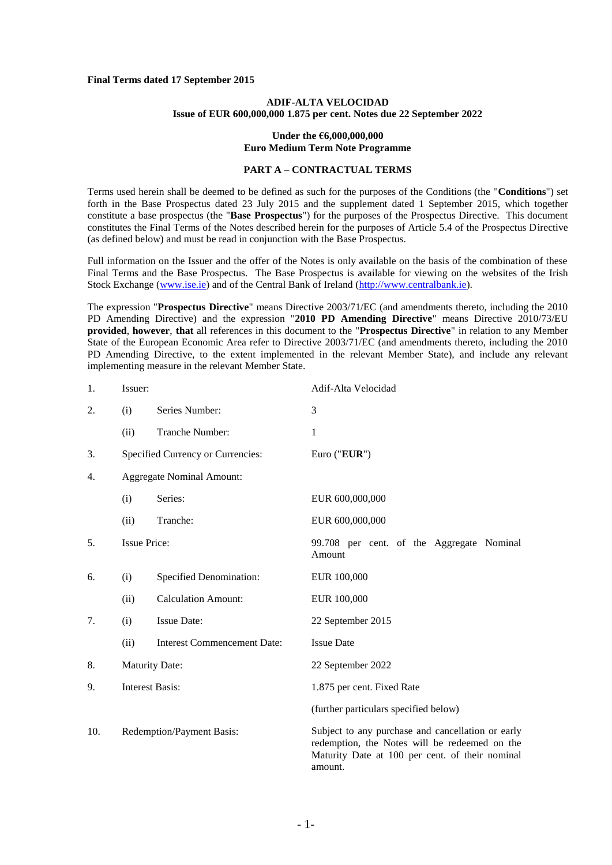#### **Final Terms dated 17 September 2015**

### **ADIF-ALTA VELOCIDAD Issue of EUR 600,000,000 1.875 per cent. Notes due 22 September 2022**

#### **Under the €6,000,000,000 Euro Medium Term Note Programme**

# **PART A – CONTRACTUAL TERMS**

Terms used herein shall be deemed to be defined as such for the purposes of the Conditions (the "**Conditions**") set forth in the Base Prospectus dated 23 July 2015 and the supplement dated 1 September 2015, which together constitute a base prospectus (the "**Base Prospectus**") for the purposes of the Prospectus Directive. This document constitutes the Final Terms of the Notes described herein for the purposes of Article 5.4 of the Prospectus Directive (as defined below) and must be read in conjunction with the Base Prospectus.

Full information on the Issuer and the offer of the Notes is only available on the basis of the combination of these Final Terms and the Base Prospectus. The Base Prospectus is available for viewing on the websites of the Irish Stock Exchange [\(www.ise.ie\)](www.ise.ie) and of the Central Bank of Ireland [\(http://www.centralbank.ie\)](http://www.centralbank.ie/).

The expression "**Prospectus Directive**" means Directive 2003/71/EC (and amendments thereto, including the 2010 PD Amending Directive) and the expression "**2010 PD Amending Directive**" means Directive 2010/73/EU **provided**, **however**, **that** all references in this document to the "**Prospectus Directive**" in relation to any Member State of the European Economic Area refer to Directive 2003/71/EC (and amendments thereto, including the 2010 PD Amending Directive, to the extent implemented in the relevant Member State), and include any relevant implementing measure in the relevant Member State.

| 1.  | Issuer:                   |                                    | Adif-Alta Velocidad                                                                                                                                              |
|-----|---------------------------|------------------------------------|------------------------------------------------------------------------------------------------------------------------------------------------------------------|
| 2.  | (i)                       | Series Number:                     | 3                                                                                                                                                                |
|     | (ii)                      | Tranche Number:                    | $\mathbf{1}$                                                                                                                                                     |
| 3.  |                           | Specified Currency or Currencies:  | Euro ("EUR")                                                                                                                                                     |
| 4.  |                           | <b>Aggregate Nominal Amount:</b>   |                                                                                                                                                                  |
|     | (i)                       | Series:                            | EUR 600,000,000                                                                                                                                                  |
|     | (ii)                      | Tranche:                           | EUR 600,000,000                                                                                                                                                  |
| 5.  | <b>Issue Price:</b>       |                                    | 99.708 per cent. of the Aggregate Nominal<br>Amount                                                                                                              |
| 6.  | (i)                       | Specified Denomination:            | EUR 100,000                                                                                                                                                      |
|     | (ii)                      | <b>Calculation Amount:</b>         | EUR 100,000                                                                                                                                                      |
| 7.  | (i)                       | <b>Issue Date:</b>                 | 22 September 2015                                                                                                                                                |
|     | (ii)                      | <b>Interest Commencement Date:</b> | <b>Issue Date</b>                                                                                                                                                |
| 8.  | <b>Maturity Date:</b>     |                                    | 22 September 2022                                                                                                                                                |
| 9.  | <b>Interest Basis:</b>    |                                    | 1.875 per cent. Fixed Rate                                                                                                                                       |
|     |                           |                                    | (further particulars specified below)                                                                                                                            |
| 10. | Redemption/Payment Basis: |                                    | Subject to any purchase and cancellation or early<br>redemption, the Notes will be redeemed on the<br>Maturity Date at 100 per cent. of their nominal<br>amount. |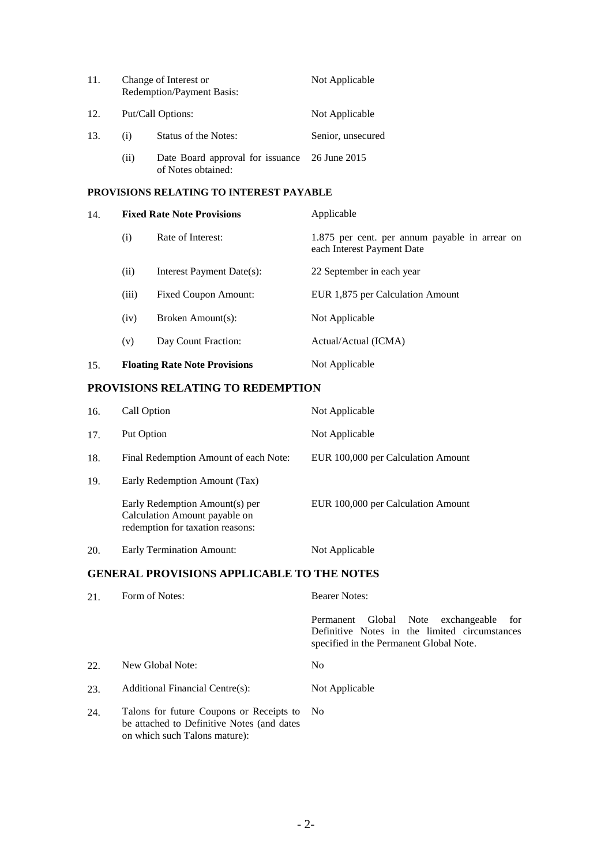| 11. | Change of Interest or<br>Redemption/Payment Basis: |                                                                     | Not Applicable    |
|-----|----------------------------------------------------|---------------------------------------------------------------------|-------------------|
| 12. | Put/Call Options:                                  |                                                                     | Not Applicable    |
| 13. | (i)                                                | Status of the Notes:                                                | Senior, unsecured |
|     | (ii)                                               | Date Board approval for issuance 26 June 2015<br>of Notes obtained: |                   |

## **PROVISIONS RELATING TO INTEREST PAYABLE**

| 14. | <b>Fixed Rate Note Provisions</b>                                                               |                     | Applicable                                                                   |  |
|-----|-------------------------------------------------------------------------------------------------|---------------------|------------------------------------------------------------------------------|--|
|     | (i)                                                                                             | Rate of Interest:   | 1.875 per cent. per annum payable in arrear on<br>each Interest Payment Date |  |
|     | Interest Payment Date(s):<br>(ii)<br>Fixed Coupon Amount:<br>(iii)<br>Broken Amount(s):<br>(iv) |                     | 22 September in each year                                                    |  |
|     |                                                                                                 |                     | EUR 1,875 per Calculation Amount                                             |  |
|     |                                                                                                 |                     | Not Applicable                                                               |  |
|     | (v)                                                                                             | Day Count Fraction: | Actual/Actual (ICMA)                                                         |  |
| 15. | <b>Floating Rate Note Provisions</b>                                                            |                     | Not Applicable                                                               |  |

# **PROVISIONS RELATING TO REDEMPTION**

| 16. | Call Option                                                                                         | Not Applicable                     |
|-----|-----------------------------------------------------------------------------------------------------|------------------------------------|
| 17. | Put Option                                                                                          | Not Applicable                     |
| 18. | Final Redemption Amount of each Note:                                                               | EUR 100,000 per Calculation Amount |
| 19. | Early Redemption Amount (Tax)                                                                       |                                    |
|     | Early Redemption Amount(s) per<br>Calculation Amount payable on<br>redemption for taxation reasons: | EUR 100,000 per Calculation Amount |
| 20. | Early Termination Amount:                                                                           | Not Applicable                     |

# **GENERAL PROVISIONS APPLICABLE TO THE NOTES**

| 21. | Form of Notes:                                                                                                          | <b>Bearer Notes:</b>                                                                                                                     |  |
|-----|-------------------------------------------------------------------------------------------------------------------------|------------------------------------------------------------------------------------------------------------------------------------------|--|
|     |                                                                                                                         | Global Note exchangeable<br>Permanent<br>for<br>Definitive Notes in the limited circumstances<br>specified in the Permanent Global Note. |  |
| 22. | New Global Note:                                                                                                        | No.                                                                                                                                      |  |
| 23. | Additional Financial Centre(s):                                                                                         | Not Applicable                                                                                                                           |  |
| 24. | Talons for future Coupons or Receipts to<br>be attached to Definitive Notes (and dates<br>on which such Talons mature): | - No                                                                                                                                     |  |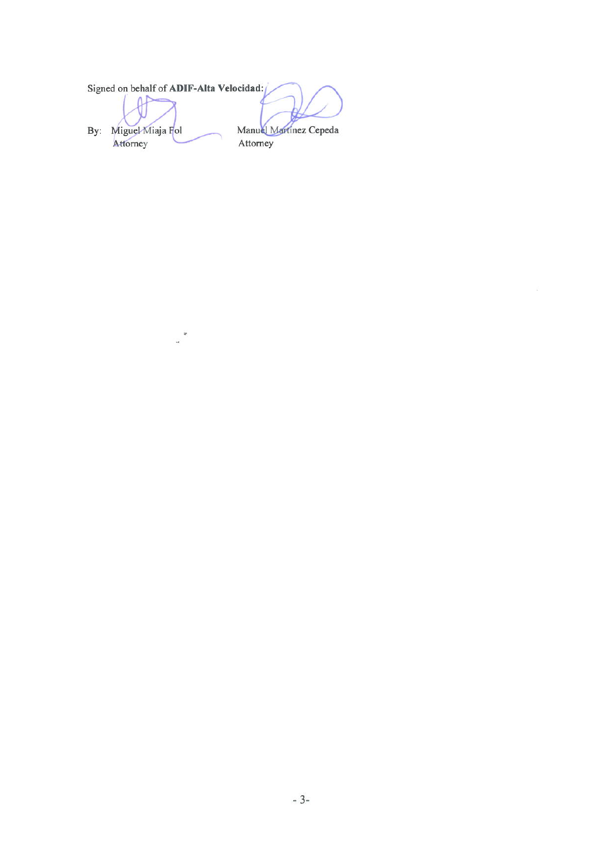|     | Signed on behalf of ADIF-Alta Velocidad: |                        |
|-----|------------------------------------------|------------------------|
| Bv: | Miguel Miaja Fol                         | Manuel Martinez Cepeda |
|     | Attorney                                 | Attorney               |

 $\label{eq:3.1} \begin{array}{c} \mathcal{L}_{\text{max}} \\ \mathcal{L}_{\text{max}} \end{array}$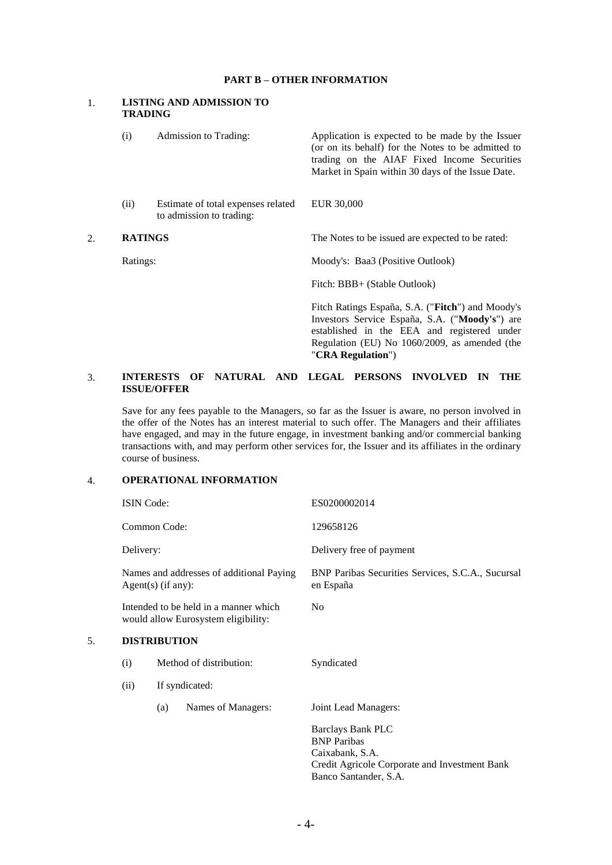#### **PART B – OTHER INFORMATION**

#### 1. **LISTING AND ADMISSION TO TRADING**

| (i)            | Admission to Trading:                                          | Application is expected to be made by the Issuer<br>(or on its behalf) for the Notes to be admitted to<br>trading on the AIAF Fixed Income Securities<br>Market in Spain within 30 days of the Issue Date.              |
|----------------|----------------------------------------------------------------|-------------------------------------------------------------------------------------------------------------------------------------------------------------------------------------------------------------------------|
| (ii)           | Estimate of total expenses related<br>to admission to trading: | EUR 30,000                                                                                                                                                                                                              |
| <b>RATINGS</b> |                                                                | The Notes to be issued are expected to be rated:                                                                                                                                                                        |
| Ratings:       |                                                                | Moody's: Baa3 (Positive Outlook)                                                                                                                                                                                        |
|                |                                                                | Fitch: BBB+ (Stable Outlook)                                                                                                                                                                                            |
|                |                                                                | Fitch Ratings España, S.A. ("Fitch") and Moody's<br>Investors Service España, S.A. ("Moody's") are<br>established in the EEA and registered under<br>Regulation (EU) No 1060/2009, as amended (the<br>"CRA Regulation") |
|                |                                                                |                                                                                                                                                                                                                         |

### 3. **INTERESTS OF NATURAL AND LEGAL PERSONS INVOLVED IN THE ISSUE/OFFER**

Save for any fees payable to the Managers, so far as the Issuer is aware, no person involved in the offer of the Notes has an interest material to such offer. The Managers and their affiliates have engaged, and may in the future engage, in investment banking and/or commercial banking transactions with, and may perform other services for, the Issuer and its affiliates in the ordinary course of business.

# 4. **OPERATIONAL INFORMATION**

|    | <b>ISIN Code:</b><br>Common Code:<br>Delivery:<br>Names and addresses of additional Paying<br>$Agent(s)$ (if any):<br>Intended to be held in a manner which<br>would allow Eurosystem eligibility: |     |                    | ES0200002014<br>129658126                                                                                                                   |  |
|----|----------------------------------------------------------------------------------------------------------------------------------------------------------------------------------------------------|-----|--------------------|---------------------------------------------------------------------------------------------------------------------------------------------|--|
|    |                                                                                                                                                                                                    |     |                    |                                                                                                                                             |  |
|    |                                                                                                                                                                                                    |     |                    | Delivery free of payment                                                                                                                    |  |
|    |                                                                                                                                                                                                    |     |                    | BNP Paribas Securities Services, S.C.A., Sucursal<br>en España                                                                              |  |
|    |                                                                                                                                                                                                    |     |                    | N <sub>0</sub>                                                                                                                              |  |
| 5. | <b>DISTRIBUTION</b>                                                                                                                                                                                |     |                    |                                                                                                                                             |  |
|    | Method of distribution:<br>(i)<br>If syndicated:<br>(ii)                                                                                                                                           |     |                    | Syndicated                                                                                                                                  |  |
|    |                                                                                                                                                                                                    |     |                    |                                                                                                                                             |  |
|    |                                                                                                                                                                                                    | (a) | Names of Managers: | Joint Lead Managers:                                                                                                                        |  |
|    |                                                                                                                                                                                                    |     |                    | <b>Barclays Bank PLC</b><br><b>BNP</b> Paribas<br>Caixabank, S.A.<br>Credit Agricole Corporate and Investment Bank<br>Banco Santander, S.A. |  |